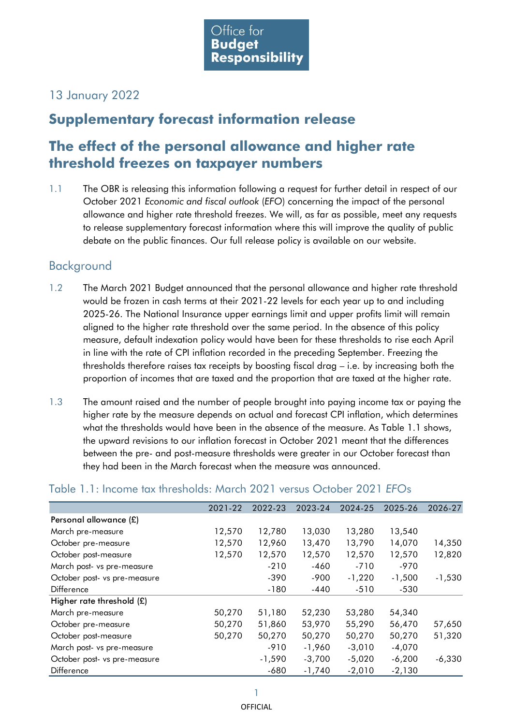L

#### 13 January 2022

# **Supplementary forecast information release**

# **The effect of the personal allowance and higher rate threshold freezes on taxpayer numbers**

1.1 The OBR is releasing this information following a request for further detail in respect of our October 2021 *Economic and fiscal outlook* (*EFO*) concerning the impact of the personal allowance and higher rate threshold freezes. We will, as far as possible, meet any requests to release supplementary forecast information where this will improve the quality of public debate on the public finances. Our full release policy is available on our website.

## Background

- 1.2 The March 2021 Budget announced that the personal allowance and higher rate threshold would be frozen in cash terms at their 2021-22 levels for each year up to and including 2025-26. The National Insurance upper earnings limit and upper profits limit will remain aligned to the higher rate threshold over the same period. In the absence of this policy measure, default indexation policy would have been for these thresholds to rise each April in line with the rate of CPI inflation recorded in the preceding September. Freezing the thresholds therefore raises tax receipts by boosting fiscal drag – i.e. by increasing both the proportion of incomes that are taxed and the proportion that are taxed at the higher rate.
- 1.3 The amount raised and the number of people brought into paying income tax or paying the higher rate by the measure depends on actual and forecast CPI inflation, which determines what the thresholds would have been in the absence of the measure. As Table 1.1 shows, the upward revisions to our inflation forecast in October 2021 meant that the differences between the pre- and post-measure thresholds were greater in our October forecast than they had been in the March forecast when the measure was announced.

|                              | 2021-22 | 2022-23  | 2023-24  | 2024-25  | 2025-26  | 2026-27  |
|------------------------------|---------|----------|----------|----------|----------|----------|
| Personal allowance (£)       |         |          |          |          |          |          |
| March pre-measure            | 12,570  | 12,780   | 13,030   | 13,280   | 13,540   |          |
| October pre-measure          | 12,570  | 12,960   | 13,470   | 13,790   | 14,070   | 14,350   |
| October post-measure         | 12,570  | 12,570   | 12,570   | 12,570   | 12,570   | 12,820   |
| March post- vs pre-measure   |         | $-210$   | $-460$   | $-710$   | $-970$   |          |
| October post- vs pre-measure |         | $-390$   | $-900$   | $-1,220$ | $-1,500$ | $-1,530$ |
| <b>Difference</b>            |         | -180     | $-440$   | $-510$   | $-530$   |          |
| Higher rate threshold (£)    |         |          |          |          |          |          |
| March pre-measure            | 50,270  | 51,180   | 52,230   | 53,280   | 54,340   |          |
| October pre-measure          | 50,270  | 51,860   | 53,970   | 55,290   | 56,470   | 57,650   |
| October post-measure         | 50,270  | 50,270   | 50,270   | 50,270   | 50,270   | 51,320   |
| March post- vs pre-measure   |         | $-910$   | $-1,960$ | $-3,010$ | $-4,070$ |          |
| October post- vs pre-measure |         | $-1,590$ | $-3,700$ | $-5,020$ | $-6,200$ | $-6,330$ |
| Difference                   |         | $-680$   | $-1,740$ | $-2,010$ | $-2,130$ |          |

### Table 1.1: Income tax thresholds: March 2021 versus October 2021 *EFO*s